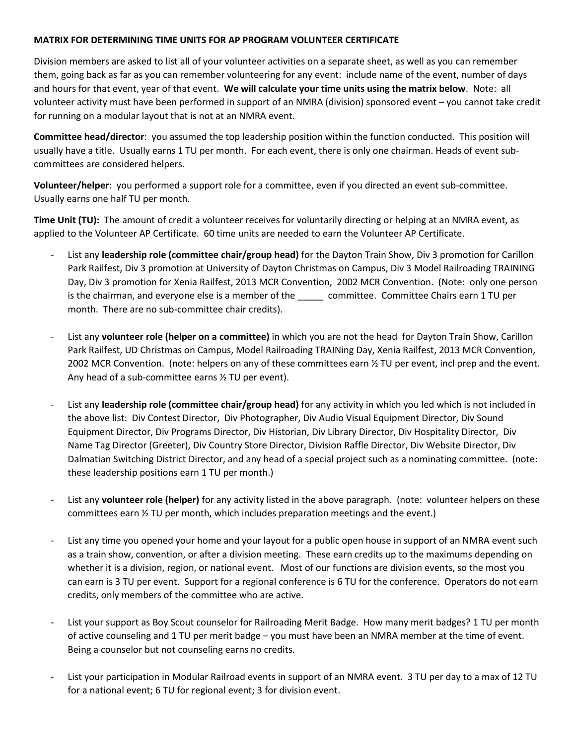## **MATRIX FOR DETERMINING TIME UNITS FOR AP PROGRAM VOLUNTEER CERTIFICATE**

Division members are asked to list all of your volunteer activities on a separate sheet, as well as you can remember them, going back as far as you can remember volunteering for any event: include name of the event, number of days and hours for that event, year of that event. **We will calculate your time units using the matrix below**. Note: all volunteer activity must have been performed in support of an NMRA (division) sponsored event – you cannot take credit for running on a modular layout that is not at an NMRA event.

**Committee head/director**: you assumed the top leadership position within the function conducted. This position will usually have a title. Usually earns 1 TU per month. For each event, there is only one chairman. Heads of event subcommittees are considered helpers.

**Volunteer/helper**: you performed a support role for a committee, even if you directed an event sub-committee. Usually earns one half TU per month.

**Time Unit (TU):** The amount of credit a volunteer receives for voluntarily directing or helping at an NMRA event, as applied to the Volunteer AP Certificate. 60 time units are needed to earn the Volunteer AP Certificate.

- List any **leadership role (committee chair/group head)** for the Dayton Train Show, Div 3 promotion for Carillon Park Railfest, Div 3 promotion at University of Dayton Christmas on Campus, Div 3 Model Railroading TRAINING Day, Div 3 promotion for Xenia Railfest, 2013 MCR Convention, 2002 MCR Convention. (Note: only one person is the chairman, and everyone else is a member of the committee. Committee Chairs earn 1 TU per month. There are no sub-committee chair credits).
- List any **volunteer role (helper on a committee)** in which you are not the head for Dayton Train Show, Carillon Park Railfest, UD Christmas on Campus, Model Railroading TRAINing Day, Xenia Railfest, 2013 MCR Convention, 2002 MCR Convention. (note: helpers on any of these committees earn ½ TU per event, incl prep and the event. Any head of a sub-committee earns ½ TU per event).
- List any **leadership role (committee chair/group head)** for any activity in which you led which is not included in the above list: Div Contest Director, Div Photographer, Div Audio Visual Equipment Director, Div Sound Equipment Director, Div Programs Director, Div Historian, Div Library Director, Div Hospitality Director, Div Name Tag Director (Greeter), Div Country Store Director, Division Raffle Director, Div Website Director, Div Dalmatian Switching District Director, and any head of a special project such as a nominating committee. (note: these leadership positions earn 1 TU per month.)
- List any **volunteer role (helper)** for any activity listed in the above paragraph. (note: volunteer helpers on these committees earn ½ TU per month, which includes preparation meetings and the event.)
- List any time you opened your home and your layout for a public open house in support of an NMRA event such as a train show, convention, or after a division meeting. These earn credits up to the maximums depending on whether it is a division, region, or national event. Most of our functions are division events, so the most you can earn is 3 TU per event. Support for a regional conference is 6 TU for the conference. Operators do not earn credits, only members of the committee who are active.
- List your support as Boy Scout counselor for Railroading Merit Badge. How many merit badges? 1 TU per month of active counseling and 1 TU per merit badge – you must have been an NMRA member at the time of event. Being a counselor but not counseling earns no credits.
- List your participation in Modular Railroad events in support of an NMRA event. 3 TU per day to a max of 12 TU for a national event; 6 TU for regional event; 3 for division event.